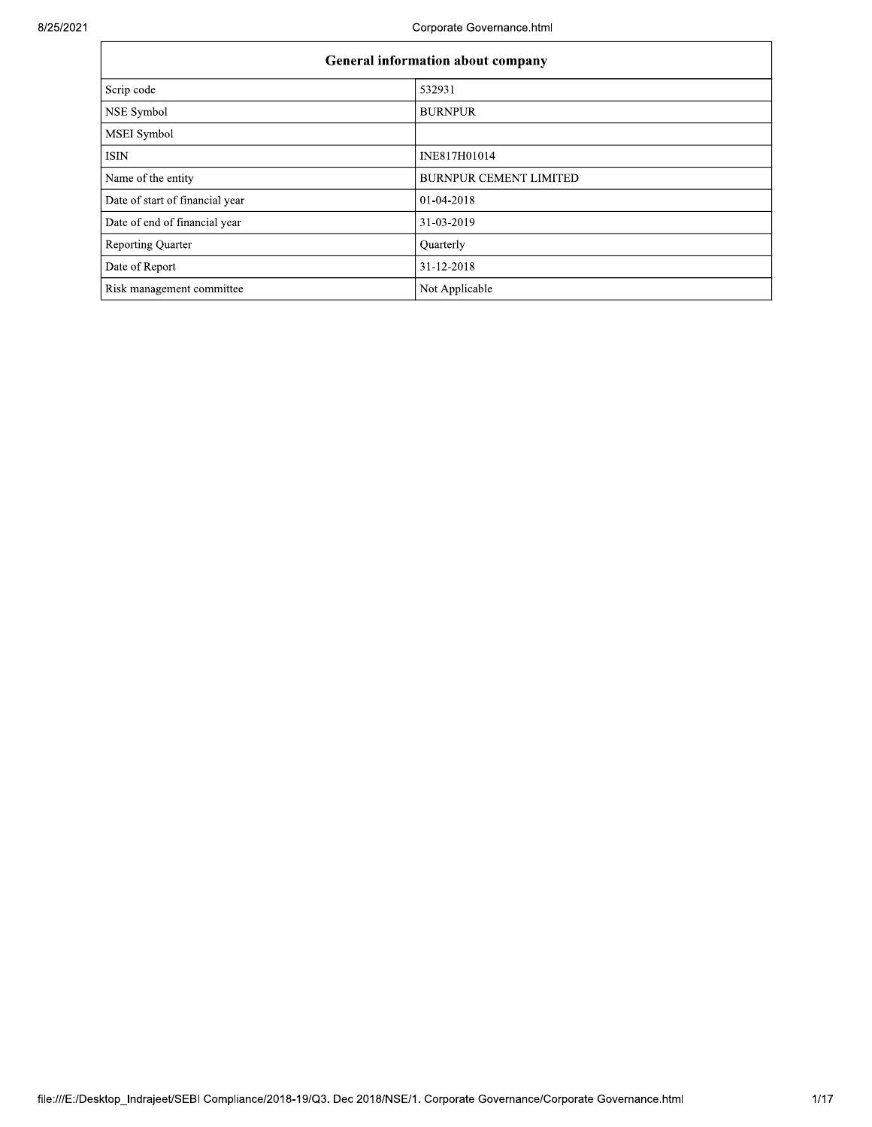| <b>General information about company</b> |                               |  |  |  |  |  |
|------------------------------------------|-------------------------------|--|--|--|--|--|
| Scrip code                               | 532931                        |  |  |  |  |  |
| NSE Symbol                               | <b>BURNPUR</b>                |  |  |  |  |  |
| MSEI Symbol                              |                               |  |  |  |  |  |
| <b>ISIN</b>                              | INE817H01014                  |  |  |  |  |  |
| Name of the entity                       | <b>BURNPUR CEMENT LIMITED</b> |  |  |  |  |  |
| Date of start of financial year          | 01-04-2018                    |  |  |  |  |  |
| Date of end of financial year            | 31-03-2019                    |  |  |  |  |  |
| <b>Reporting Quarter</b>                 | Quarterly                     |  |  |  |  |  |
| Date of Report                           | 31-12-2018                    |  |  |  |  |  |
| Risk management committee                | Not Applicable                |  |  |  |  |  |

 $\overline{\phantom{0}}$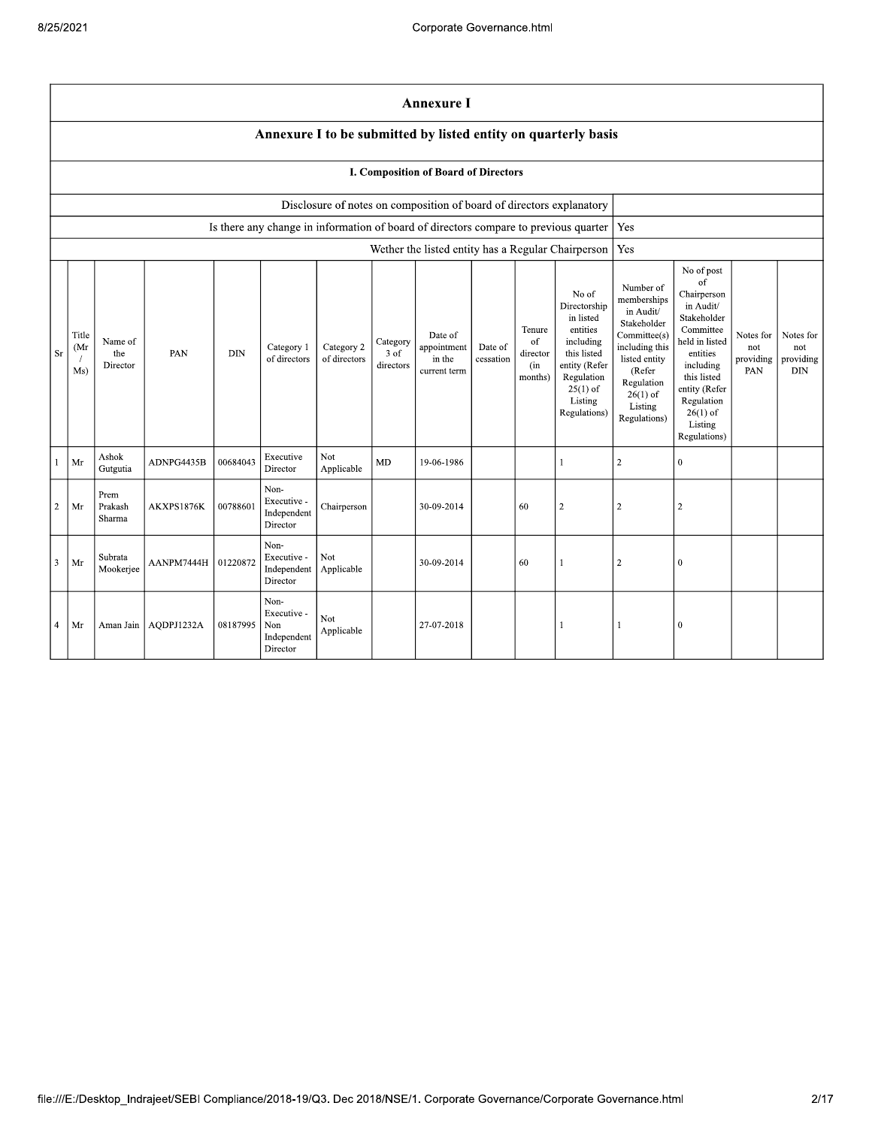|                         | <b>Annexure I</b>                                              |                            |            |            |                                                       |                            |                               |                                                  |                      |                                            |                                                                                                                                                    |                                                                                                                                                                          |                                                                                                                                                                                                            |                                      |                                             |
|-------------------------|----------------------------------------------------------------|----------------------------|------------|------------|-------------------------------------------------------|----------------------------|-------------------------------|--------------------------------------------------|----------------------|--------------------------------------------|----------------------------------------------------------------------------------------------------------------------------------------------------|--------------------------------------------------------------------------------------------------------------------------------------------------------------------------|------------------------------------------------------------------------------------------------------------------------------------------------------------------------------------------------------------|--------------------------------------|---------------------------------------------|
|                         | Annexure I to be submitted by listed entity on quarterly basis |                            |            |            |                                                       |                            |                               |                                                  |                      |                                            |                                                                                                                                                    |                                                                                                                                                                          |                                                                                                                                                                                                            |                                      |                                             |
|                         |                                                                |                            |            |            |                                                       |                            |                               | I. Composition of Board of Directors             |                      |                                            |                                                                                                                                                    |                                                                                                                                                                          |                                                                                                                                                                                                            |                                      |                                             |
|                         |                                                                |                            |            |            |                                                       |                            |                               |                                                  |                      |                                            | Disclosure of notes on composition of board of directors explanatory                                                                               |                                                                                                                                                                          |                                                                                                                                                                                                            |                                      |                                             |
|                         |                                                                |                            |            |            |                                                       |                            |                               |                                                  |                      |                                            | Is there any change in information of board of directors compare to previous quarter                                                               | Yes                                                                                                                                                                      |                                                                                                                                                                                                            |                                      |                                             |
|                         |                                                                |                            |            |            |                                                       |                            |                               |                                                  |                      |                                            | Wether the listed entity has a Regular Chairperson                                                                                                 | Yes                                                                                                                                                                      |                                                                                                                                                                                                            |                                      |                                             |
| <b>Sr</b>               | Title<br>(Mr<br>Ms)                                            | Name of<br>the<br>Director | PAN        | <b>DIN</b> | Category 1<br>of directors                            | Category 2<br>of directors | Category<br>3 of<br>directors | Date of<br>appointment<br>in the<br>current term | Date of<br>cessation | Tenure<br>of<br>director<br>(in<br>months) | No of<br>Directorship<br>in listed<br>entities<br>including<br>this listed<br>entity (Refer<br>Regulation<br>$25(1)$ of<br>Listing<br>Regulations) | Number of<br>memberships<br>in Audit/<br>Stakeholder<br>Committee(s)<br>including this<br>listed entity<br>(Refer<br>Regulation<br>$26(1)$ of<br>Listing<br>Regulations) | No of post<br>of<br>Chairperson<br>in Audit/<br>Stakeholder<br>Committee<br>held in listed<br>entities<br>including<br>this listed<br>entity (Refer<br>Regulation<br>$26(1)$ of<br>Listing<br>Regulations) | Notes for<br>not<br>providing<br>PAN | Notes for<br>not<br>providing<br><b>DIN</b> |
|                         | Mr                                                             | Ashok<br>Gutgutia          | ADNPG4435B | 00684043   | Executive<br>Director                                 | Not.<br>Applicable         | MD                            | 19-06-1986                                       |                      |                                            | $\mathbf{1}$                                                                                                                                       | $\overline{2}$                                                                                                                                                           | $\mathbf{0}$                                                                                                                                                                                               |                                      |                                             |
| $\overline{2}$          | Mr                                                             | Prem<br>Prakash<br>Sharma  | AKXPS1876K | 00788601   | Non-<br>Executive -<br>Independent<br>Director        | Chairperson                |                               | 30-09-2014                                       |                      | 60                                         | $\overline{2}$                                                                                                                                     | $\overline{2}$                                                                                                                                                           | $\overline{2}$                                                                                                                                                                                             |                                      |                                             |
| $\overline{\mathbf{3}}$ | Mr                                                             | Subrata<br>Mookerjee       | AANPM7444H | 01220872   | Non-<br>Executive -<br>Independent<br>Director        | <b>Not</b><br>Applicable   |                               | 30-09-2014                                       |                      | 60                                         | $\mathbf{1}$                                                                                                                                       | $\overline{2}$                                                                                                                                                           | $\bf{0}$                                                                                                                                                                                                   |                                      |                                             |
| $\overline{4}$          | Mr                                                             | Aman Jain                  | AODPJ1232A | 08187995   | Non-<br>Executive -<br>Non<br>Independent<br>Director | Not<br>Applicable          |                               | 27-07-2018                                       |                      |                                            | $\mathbf{1}$                                                                                                                                       |                                                                                                                                                                          | $\mathbf{0}$                                                                                                                                                                                               |                                      |                                             |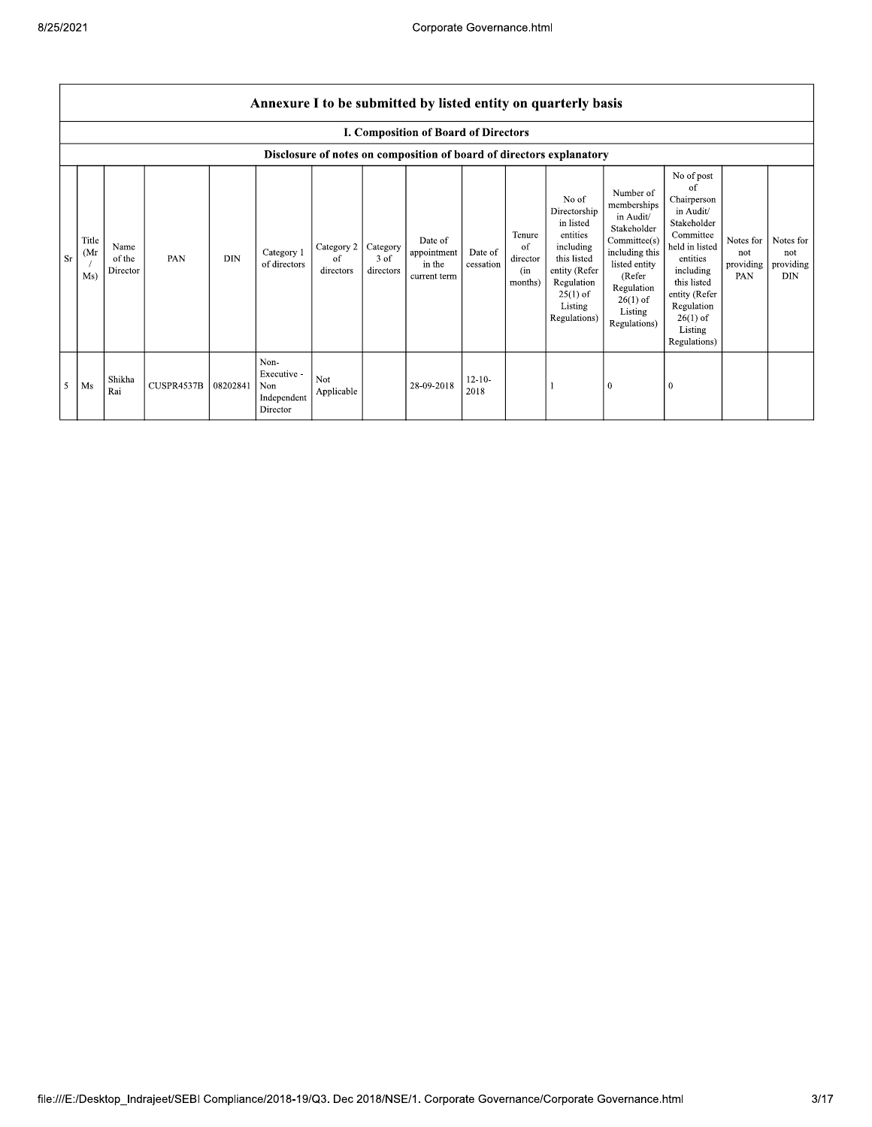|    | Annexure I to be submitted by listed entity on quarterly basis |                            |            |            |                                                       |                                          |                   |                                                  |                      |                                            |                                                                                                                                                    |                                                                                                                                                                          |                                                                                                                                                                                                            |                                      |                                             |
|----|----------------------------------------------------------------|----------------------------|------------|------------|-------------------------------------------------------|------------------------------------------|-------------------|--------------------------------------------------|----------------------|--------------------------------------------|----------------------------------------------------------------------------------------------------------------------------------------------------|--------------------------------------------------------------------------------------------------------------------------------------------------------------------------|------------------------------------------------------------------------------------------------------------------------------------------------------------------------------------------------------------|--------------------------------------|---------------------------------------------|
|    |                                                                |                            |            |            |                                                       |                                          |                   | I. Composition of Board of Directors             |                      |                                            |                                                                                                                                                    |                                                                                                                                                                          |                                                                                                                                                                                                            |                                      |                                             |
|    |                                                                |                            |            |            |                                                       |                                          |                   |                                                  |                      |                                            | Disclosure of notes on composition of board of directors explanatory                                                                               |                                                                                                                                                                          |                                                                                                                                                                                                            |                                      |                                             |
| Sr | Title<br>(Mr)<br>Ms)                                           | Name<br>of the<br>Director | PAN        | <b>DIN</b> | Category 1<br>of directors                            | Category 2   Category<br>of<br>directors | 3 of<br>directors | Date of<br>appointment<br>in the<br>current term | Date of<br>cessation | Tenure<br>of<br>director<br>(in<br>months) | No of<br>Directorship<br>in listed<br>entities<br>including<br>this listed<br>entity (Refer<br>Regulation<br>$25(1)$ of<br>Listing<br>Regulations) | Number of<br>memberships<br>in Audit/<br>Stakeholder<br>Committee(s)<br>including this<br>listed entity<br>(Refer<br>Regulation<br>$26(1)$ of<br>Listing<br>Regulations) | No of post<br>of<br>Chairperson<br>in Audit/<br>Stakeholder<br>Committee<br>held in listed<br>entities<br>including<br>this listed<br>entity (Refer<br>Regulation<br>$26(1)$ of<br>Listing<br>Regulations) | Notes for<br>not<br>providing<br>PAN | Notes for<br>not<br>providing<br><b>DIN</b> |
| 5  | Ms                                                             | Shikha<br>Rai              | CUSPR4537B | 08202841   | Non-<br>Executive -<br>Non<br>Independent<br>Director | Not<br>Applicable                        |                   | 28-09-2018                                       | $12 - 10 -$<br>2018  |                                            |                                                                                                                                                    | $\mathbf{0}$                                                                                                                                                             | $\bf{0}$                                                                                                                                                                                                   |                                      |                                             |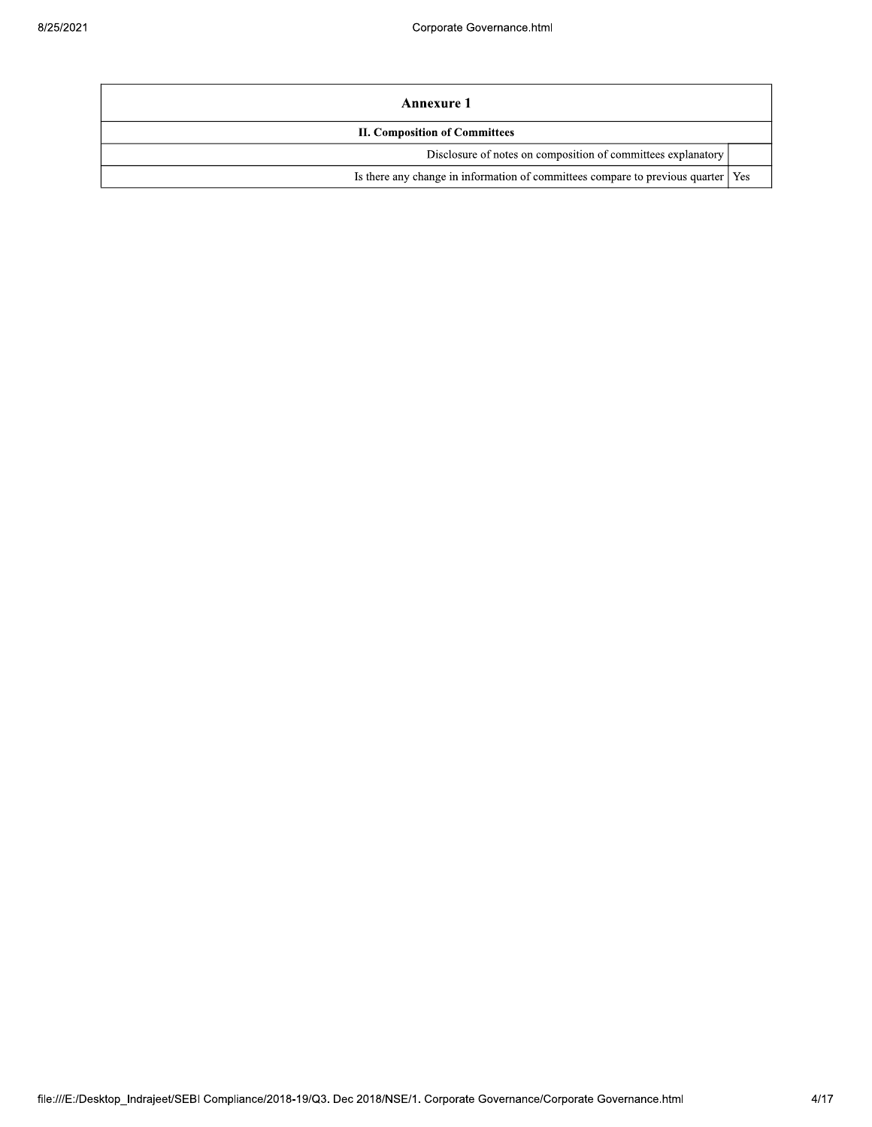| Annexure 1                                                                         |  |
|------------------------------------------------------------------------------------|--|
| <b>II. Composition of Committees</b>                                               |  |
| Disclosure of notes on composition of committees explanatory                       |  |
| Is there any change in information of committees compare to previous quarter   Yes |  |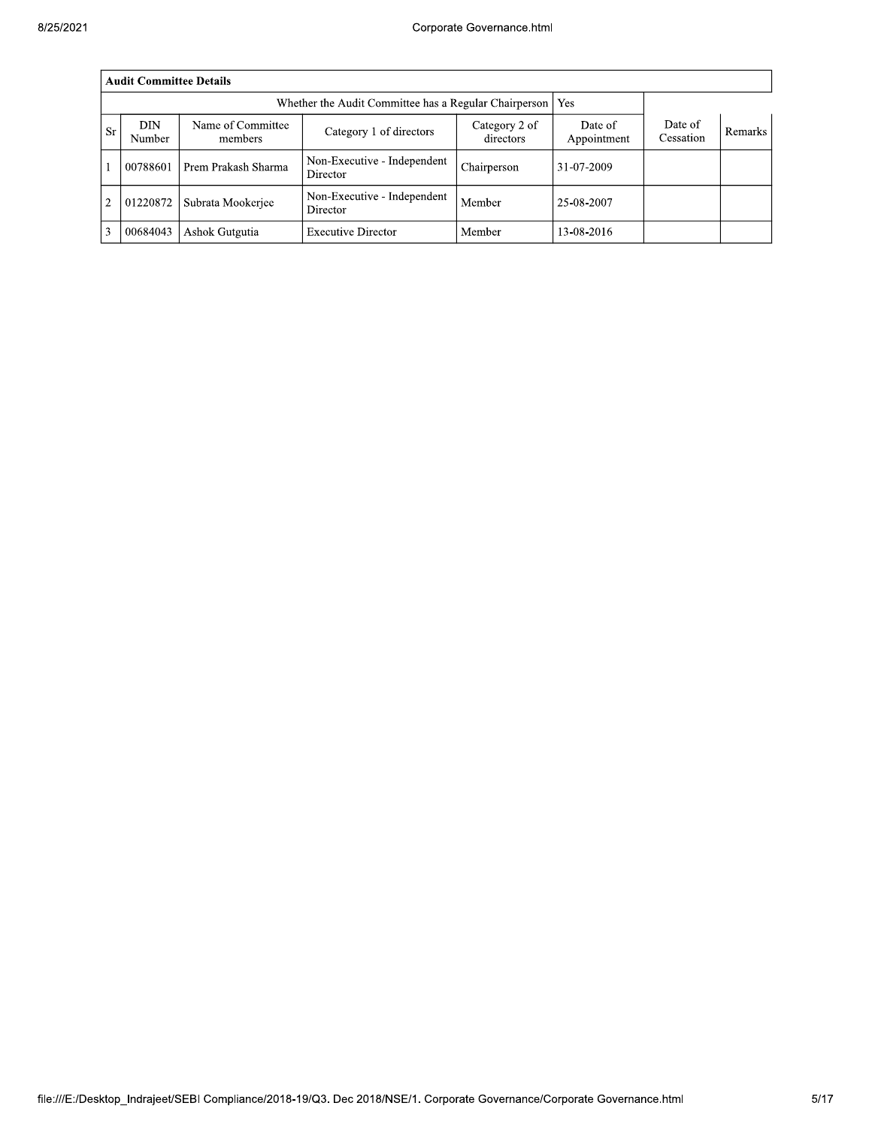|                | <b>Audit Committee Details</b> |                      |                                         |             |            |  |  |  |  |  |  |  |
|----------------|--------------------------------|----------------------|-----------------------------------------|-------------|------------|--|--|--|--|--|--|--|
|                |                                |                      |                                         |             |            |  |  |  |  |  |  |  |
| <b>Sr</b>      | <b>DIN</b><br>Number           | Date of<br>Cessation | Remarks                                 |             |            |  |  |  |  |  |  |  |
|                | 00788601                       | Prem Prakash Sharma  | Non-Executive - Independent<br>Director | Chairperson | 31-07-2009 |  |  |  |  |  |  |  |
| $\overline{2}$ | 01220872                       | Subrata Mookerjee    | Non-Executive - Independent<br>Director | Member      | 25-08-2007 |  |  |  |  |  |  |  |
| 3              | 00684043                       |                      |                                         |             |            |  |  |  |  |  |  |  |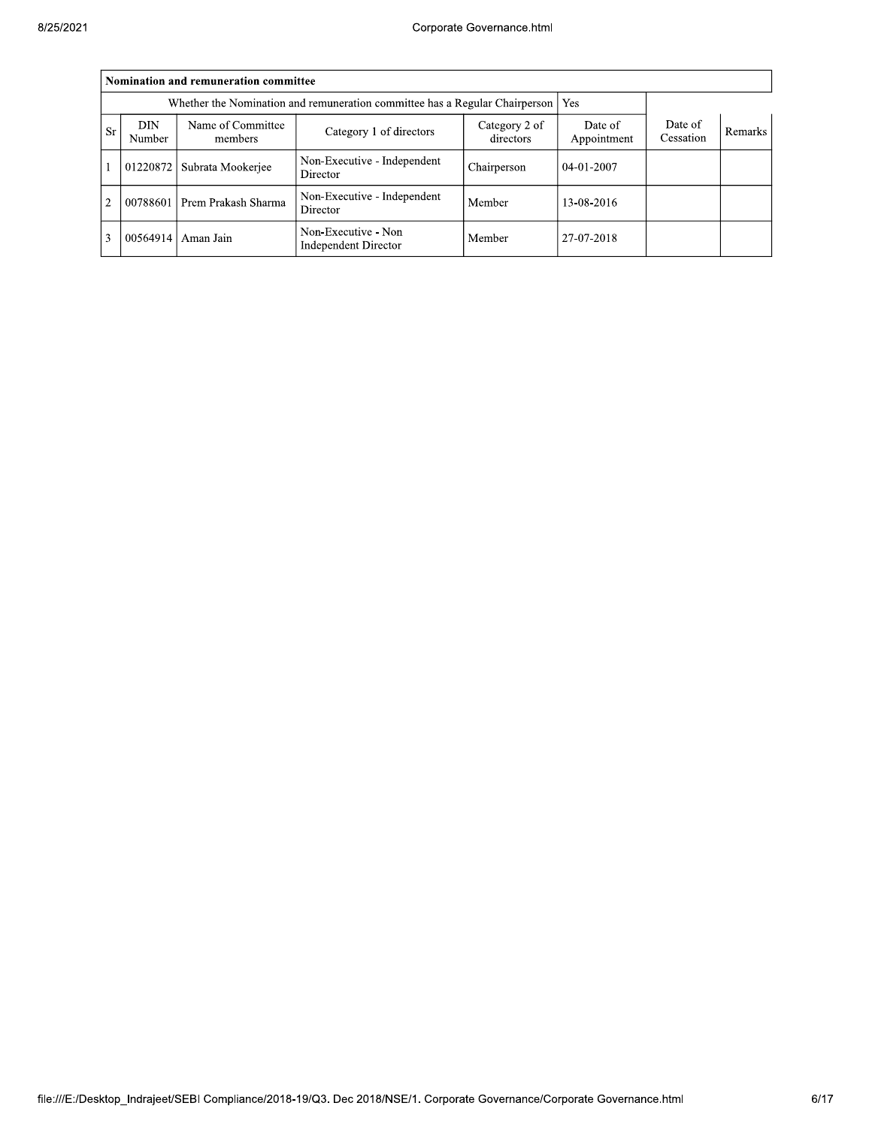|                | Nomination and remuneration committee                                       |                      |                                                    |             |            |  |  |  |  |  |  |  |
|----------------|-----------------------------------------------------------------------------|----------------------|----------------------------------------------------|-------------|------------|--|--|--|--|--|--|--|
|                | Whether the Nomination and remuneration committee has a Regular Chairperson |                      |                                                    |             |            |  |  |  |  |  |  |  |
| <b>Sr</b>      | <b>DIN</b><br>Number                                                        | Date of<br>Cessation | <b>Remarks</b>                                     |             |            |  |  |  |  |  |  |  |
|                | 01220872                                                                    | Subrata Mookerjee    | Non-Executive - Independent<br>Director            | Chairperson | 04-01-2007 |  |  |  |  |  |  |  |
| $\overline{2}$ | 00788601                                                                    | Prem Prakash Sharma  | Non-Executive - Independent<br>Director            | Member      | 13-08-2016 |  |  |  |  |  |  |  |
| 3              | 00564914                                                                    | Aman Jain            | Non-Executive - Non<br><b>Independent Director</b> | Member      | 27-07-2018 |  |  |  |  |  |  |  |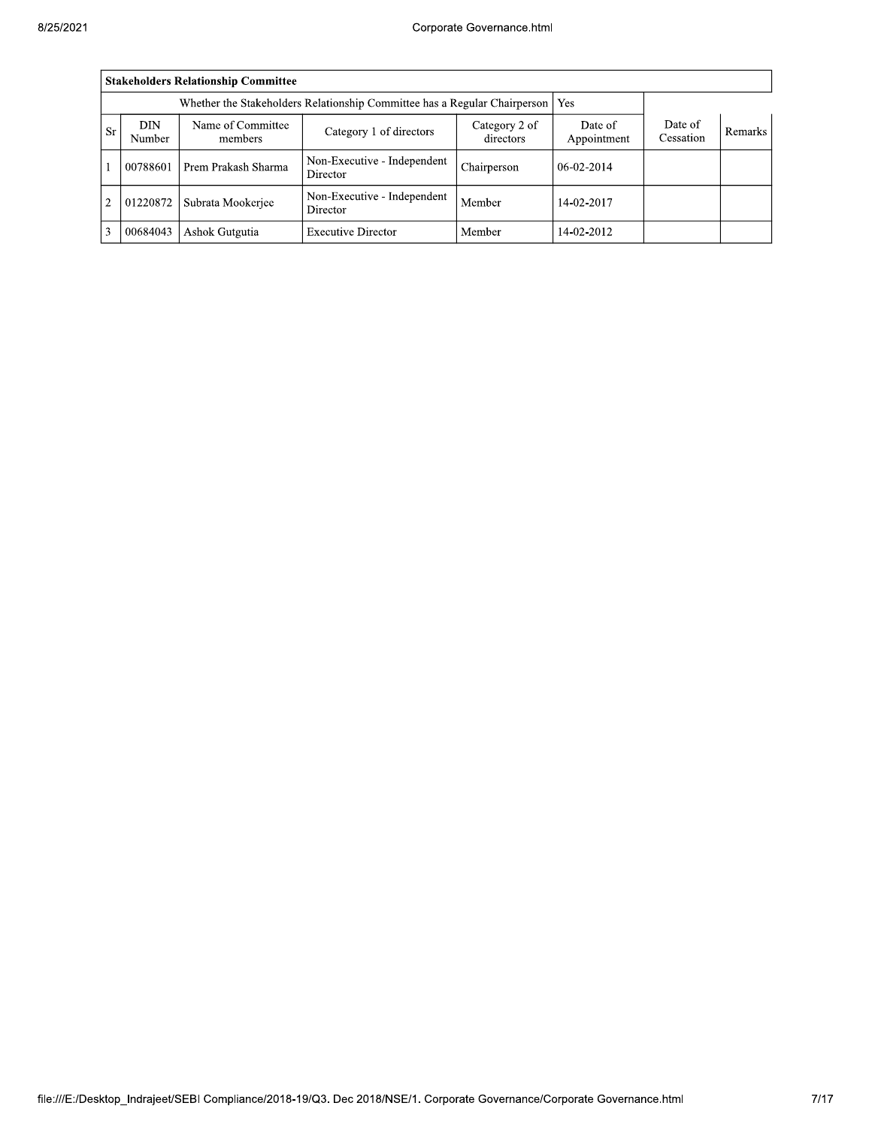|                | <b>Stakeholders Relationship Committee</b>                                                                                                     |                     |                                         |             |            |                      |         |  |  |  |  |  |
|----------------|------------------------------------------------------------------------------------------------------------------------------------------------|---------------------|-----------------------------------------|-------------|------------|----------------------|---------|--|--|--|--|--|
|                | Whether the Stakeholders Relationship Committee has a Regular Chairperson                                                                      |                     |                                         |             |            |                      |         |  |  |  |  |  |
| <b>Sr</b>      | Name of Committee<br><b>DIN</b><br>Category 2 of<br>Date of<br>Category 1 of directors<br>directors<br><b>Number</b><br>Appointment<br>members |                     |                                         |             |            | Date of<br>Cessation | Remarks |  |  |  |  |  |
|                | 00788601                                                                                                                                       | Prem Prakash Sharma | Non-Executive - Independent<br>Director | Chairperson | 06-02-2014 |                      |         |  |  |  |  |  |
| $\overline{2}$ | 01220872                                                                                                                                       | Subrata Mookerjee   | Non-Executive - Independent<br>Director | Member      | 14-02-2017 |                      |         |  |  |  |  |  |
| 3              | 00684043                                                                                                                                       | Ashok Gutgutia      | <b>Executive Director</b>               | Member      | 14-02-2012 |                      |         |  |  |  |  |  |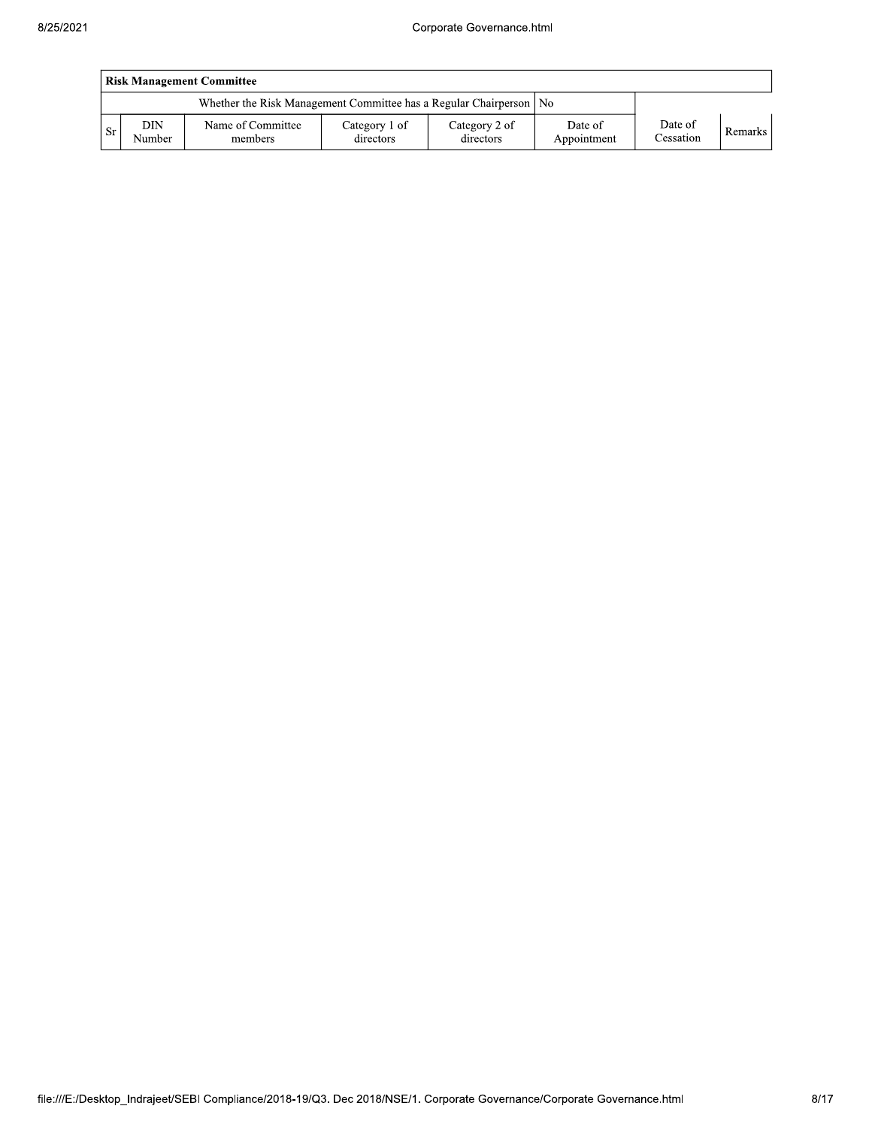|           | <b>Risk Management Committee</b> |                                                                      |                            |                            |                        |                      |         |  |  |  |  |
|-----------|----------------------------------|----------------------------------------------------------------------|----------------------------|----------------------------|------------------------|----------------------|---------|--|--|--|--|
|           |                                  | Whether the Risk Management Committee has a Regular Chairperson   No |                            |                            |                        |                      |         |  |  |  |  |
| <b>Sr</b> | DIN<br>Number                    | Name of Committee<br>members                                         | Category 1 of<br>directors | Category 2 of<br>directors | Date of<br>Appointment | Date of<br>Cessation | Remarks |  |  |  |  |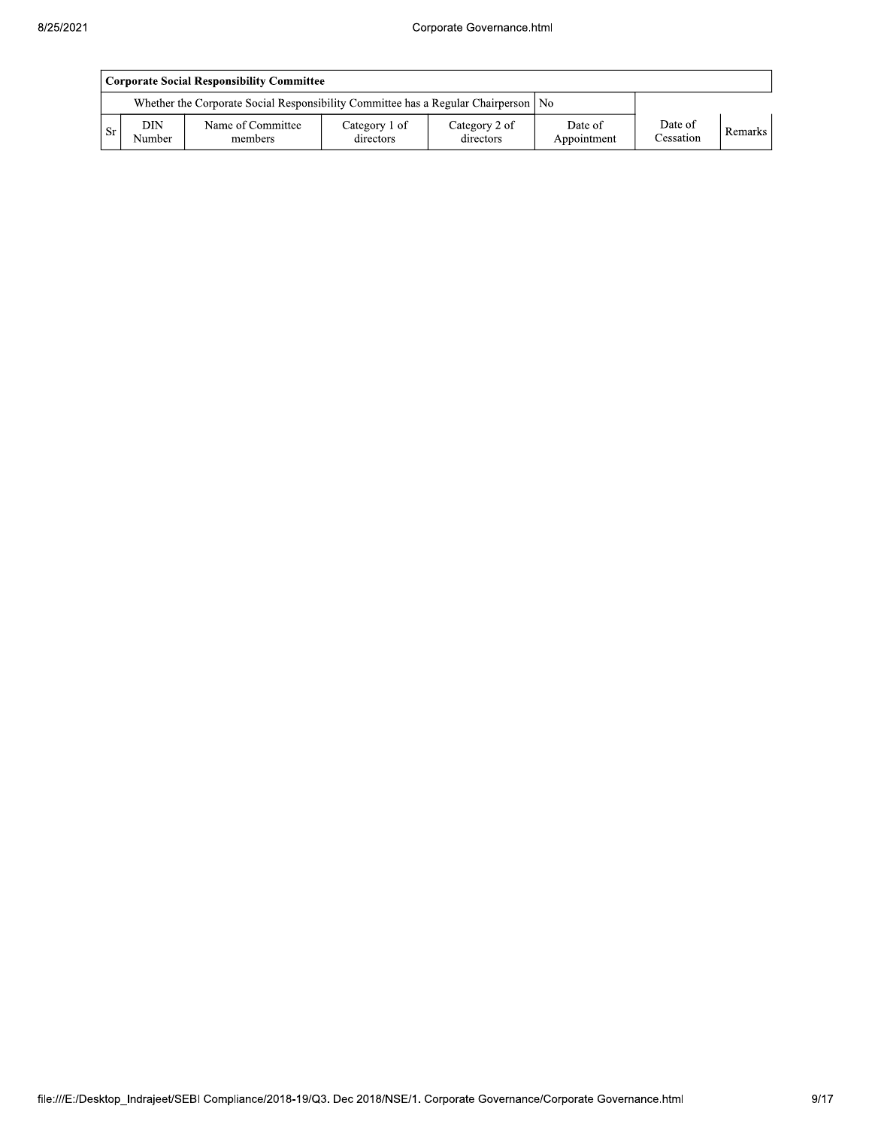|      | Corporate Social Responsibility Committee |                                                                                      |                            |                            |                        |                      |                |  |  |  |
|------|-------------------------------------------|--------------------------------------------------------------------------------------|----------------------------|----------------------------|------------------------|----------------------|----------------|--|--|--|
|      |                                           | Whether the Corporate Social Responsibility Committee has a Regular Chairperson   No |                            |                            |                        |                      |                |  |  |  |
| l Sr | DIN<br>Number                             | Name of Committee<br>members                                                         | Category 1 of<br>directors | Category 2 of<br>directors | Date of<br>Appointment | Date of<br>Cessation | <b>Remarks</b> |  |  |  |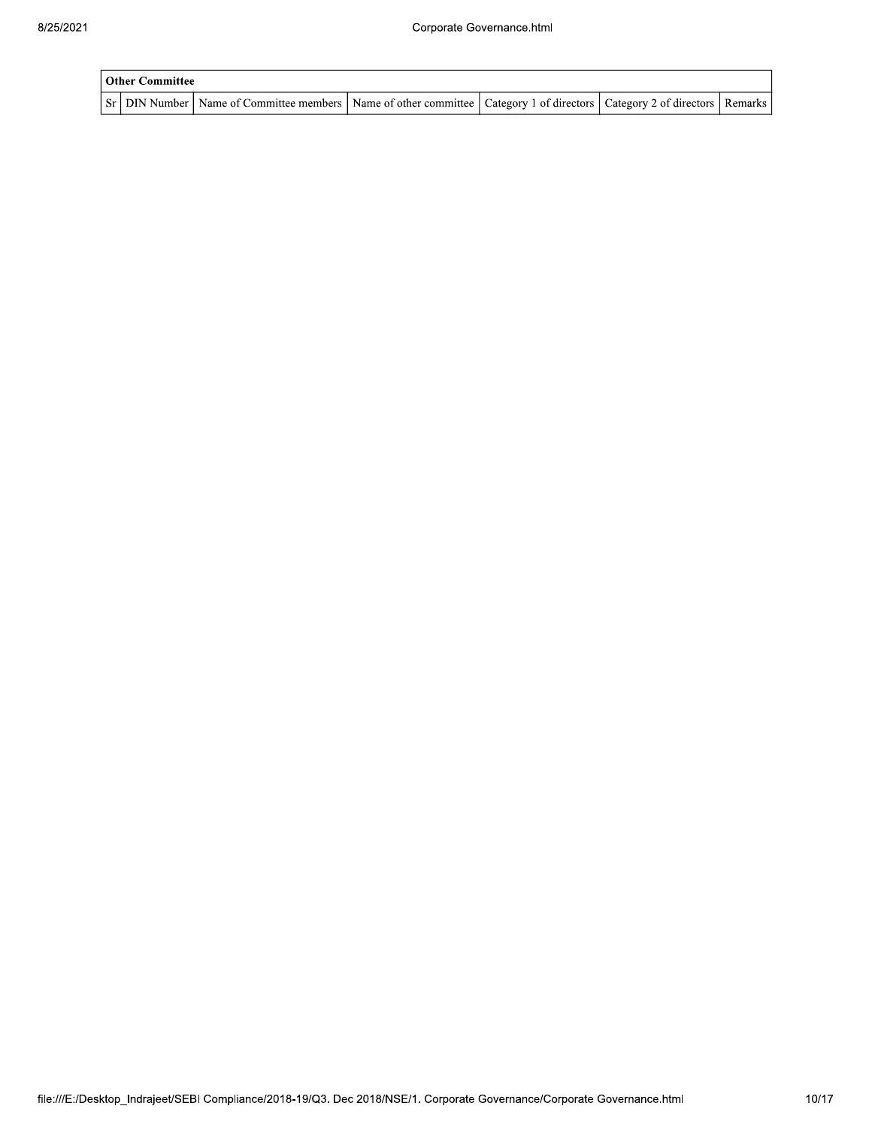| <b>Other Committee</b> |                                                                                                                                     |  |  |  |  |  |  |  |  |
|------------------------|-------------------------------------------------------------------------------------------------------------------------------------|--|--|--|--|--|--|--|--|
|                        | Sr   DIN Number   Name of Committee members   Name of other committee   Category 1 of directors   Category 2 of directors   Remarks |  |  |  |  |  |  |  |  |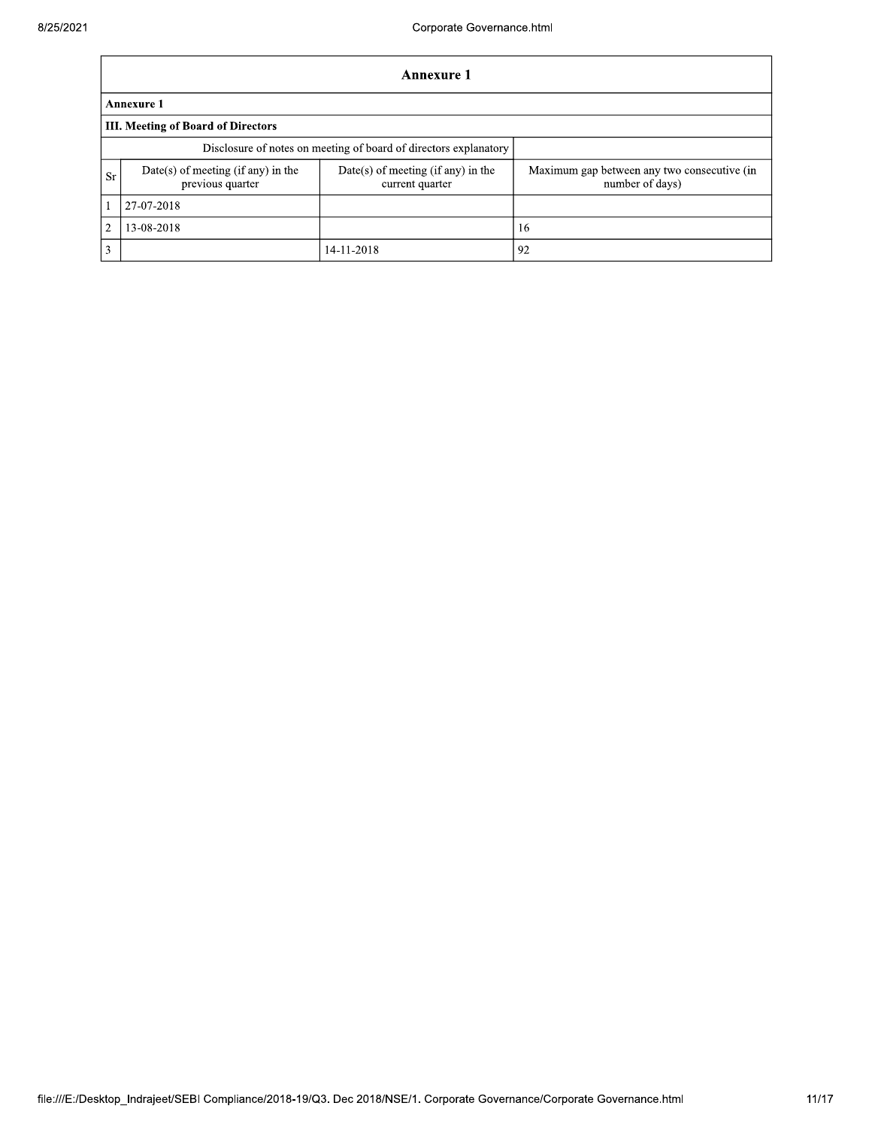|    | Annexure 1                                                       |                                                       |                                                                |  |  |  |  |  |  |  |  |
|----|------------------------------------------------------------------|-------------------------------------------------------|----------------------------------------------------------------|--|--|--|--|--|--|--|--|
|    | <b>Annexure 1</b>                                                |                                                       |                                                                |  |  |  |  |  |  |  |  |
|    | <b>III. Meeting of Board of Directors</b>                        |                                                       |                                                                |  |  |  |  |  |  |  |  |
|    | Disclosure of notes on meeting of board of directors explanatory |                                                       |                                                                |  |  |  |  |  |  |  |  |
| Sr | $Date(s)$ of meeting (if any) in the<br>previous quarter         | Date(s) of meeting (if any) in the<br>current quarter | Maximum gap between any two consecutive (in<br>number of days) |  |  |  |  |  |  |  |  |
|    | 27-07-2018                                                       |                                                       |                                                                |  |  |  |  |  |  |  |  |
| 2  | 13-08-2018                                                       | 16                                                    |                                                                |  |  |  |  |  |  |  |  |
| 3  |                                                                  | 14-11-2018                                            | 92                                                             |  |  |  |  |  |  |  |  |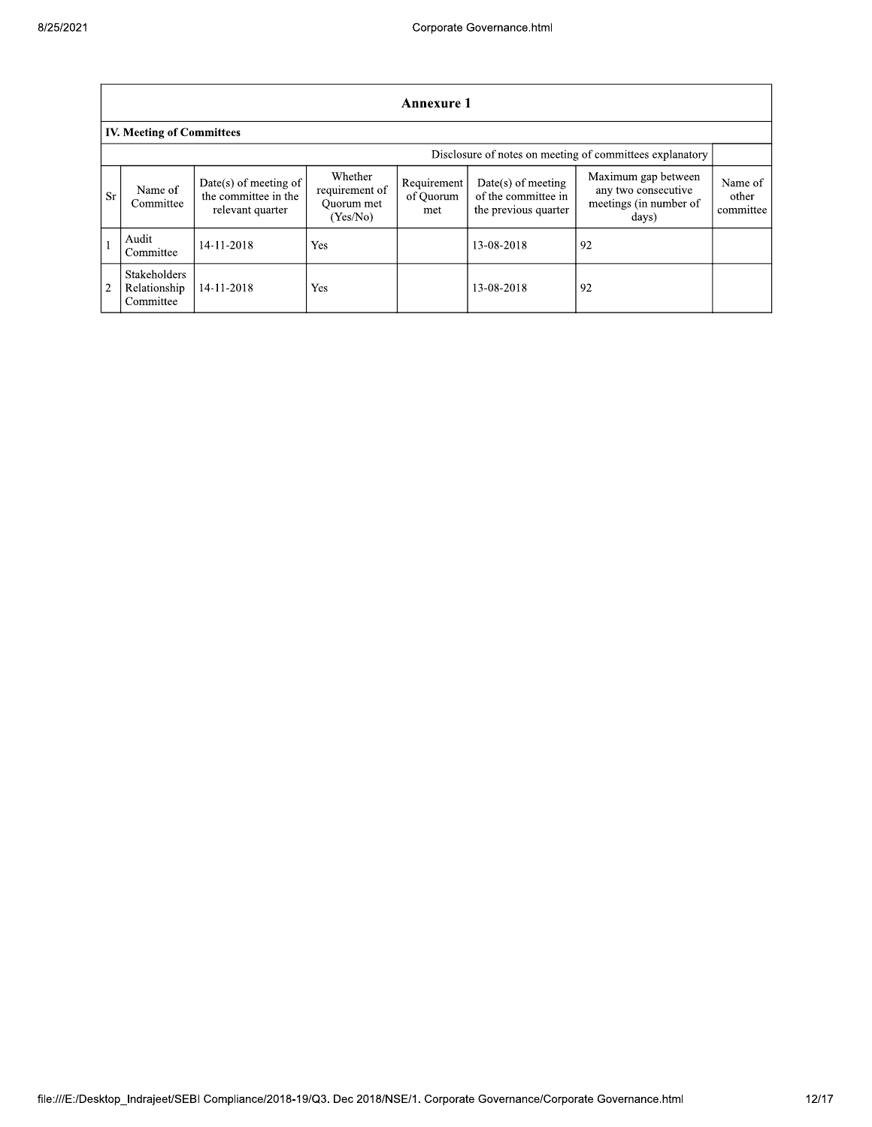| <b>Annexure 1</b> |                                                          |                                                                   |                                                     |                                 |                                                                     |                                                                               |                               |  |  |  |  |
|-------------------|----------------------------------------------------------|-------------------------------------------------------------------|-----------------------------------------------------|---------------------------------|---------------------------------------------------------------------|-------------------------------------------------------------------------------|-------------------------------|--|--|--|--|
|                   | <b>IV. Meeting of Committees</b>                         |                                                                   |                                                     |                                 |                                                                     |                                                                               |                               |  |  |  |  |
|                   | Disclosure of notes on meeting of committees explanatory |                                                                   |                                                     |                                 |                                                                     |                                                                               |                               |  |  |  |  |
| <b>Sr</b>         | Name of<br>Committee                                     | Date(s) of meeting of<br>the committee in the<br>relevant quarter | Whether<br>requirement of<br>Ouorum met<br>(Yes/No) | Requirement<br>of Quorum<br>met | $Date(s)$ of meeting<br>of the committee in<br>the previous quarter | Maximum gap between<br>any two consecutive<br>meetings (in number of<br>days) | Name of<br>other<br>committee |  |  |  |  |
|                   | Audit<br>Committee                                       | 14-11-2018                                                        | Yes                                                 |                                 | 13-08-2018                                                          | 92                                                                            |                               |  |  |  |  |
| $\overline{2}$    | <b>Stakeholders</b><br>Relationship<br>Committee         | 14-11-2018                                                        | Yes                                                 |                                 | 13-08-2018                                                          | 92                                                                            |                               |  |  |  |  |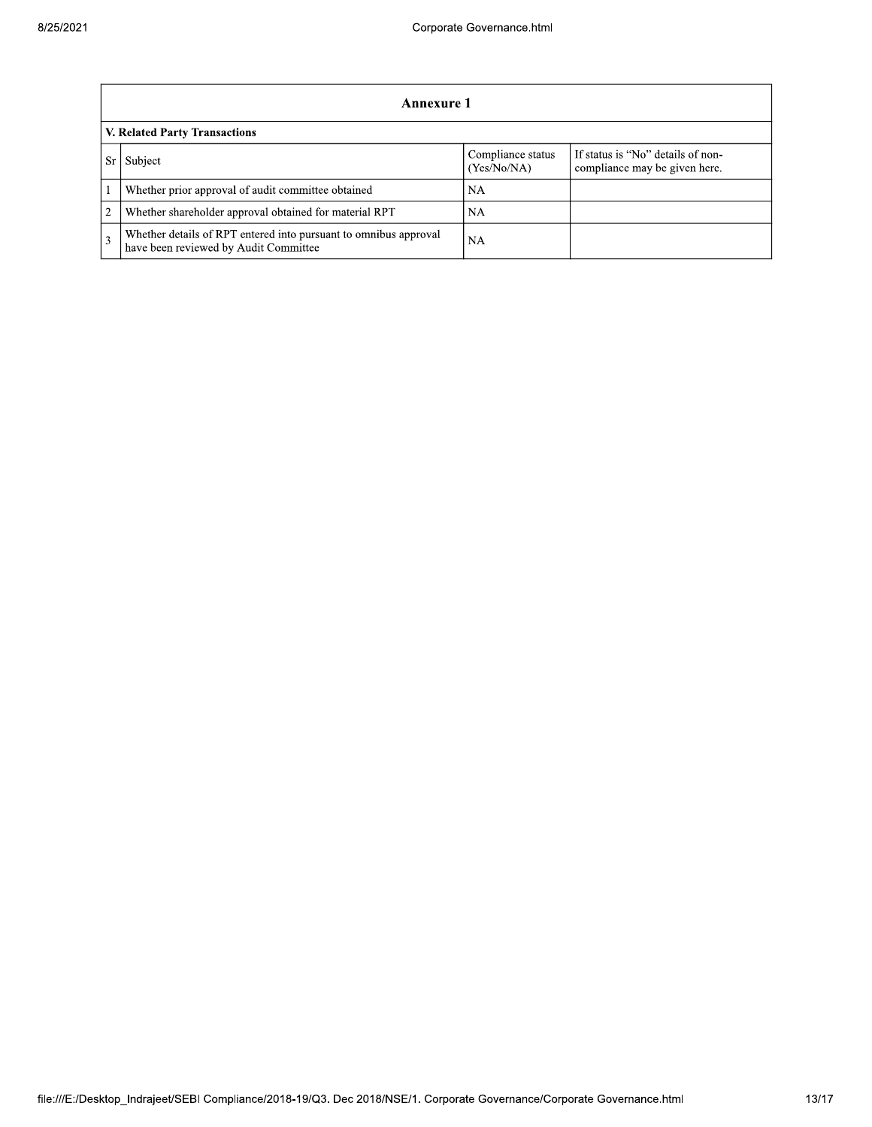|                               | Annexure 1                                                                                                |                                  |                                                                    |  |  |  |
|-------------------------------|-----------------------------------------------------------------------------------------------------------|----------------------------------|--------------------------------------------------------------------|--|--|--|
| V. Related Party Transactions |                                                                                                           |                                  |                                                                    |  |  |  |
|                               | Subject                                                                                                   | Compliance status<br>(Yes/No/NA) | If status is "No" details of non-<br>compliance may be given here. |  |  |  |
|                               | Whether prior approval of audit committee obtained                                                        | NA                               |                                                                    |  |  |  |
| $\overline{2}$                | Whether shareholder approval obtained for material RPT                                                    | NA.                              |                                                                    |  |  |  |
| $\mathcal{F}$                 | Whether details of RPT entered into pursuant to omnibus approval<br>have been reviewed by Audit Committee | <b>NA</b>                        |                                                                    |  |  |  |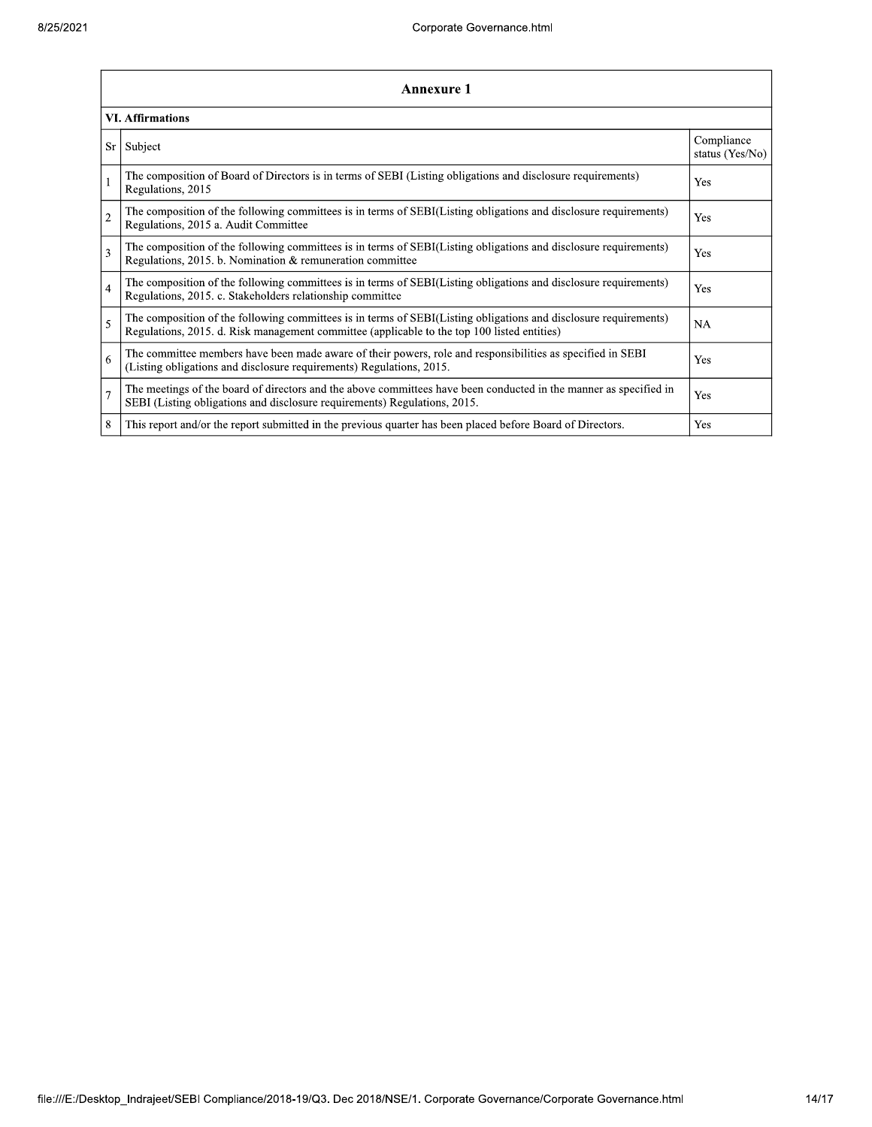|                         | <b>Annexure 1</b>                                                                                                                                                                                               |                               |  |  |  |  |
|-------------------------|-----------------------------------------------------------------------------------------------------------------------------------------------------------------------------------------------------------------|-------------------------------|--|--|--|--|
| <b>VI. Affirmations</b> |                                                                                                                                                                                                                 |                               |  |  |  |  |
| <b>Sr</b>               | Subject                                                                                                                                                                                                         | Compliance<br>status (Yes/No) |  |  |  |  |
| $\mathbf{1}$            | The composition of Board of Directors is in terms of SEBI (Listing obligations and disclosure requirements)<br>Regulations, 2015                                                                                | Yes                           |  |  |  |  |
| $\overline{2}$          | The composition of the following committees is in terms of SEBI(Listing obligations and disclosure requirements)<br>Regulations, 2015 a. Audit Committee                                                        | Yes                           |  |  |  |  |
| 3                       | The composition of the following committees is in terms of SEBI(Listing obligations and disclosure requirements)<br>Regulations, 2015. b. Nomination & remuneration committee                                   | Yes                           |  |  |  |  |
| $\overline{4}$          | The composition of the following committees is in terms of SEBI(Listing obligations and disclosure requirements)<br>Regulations, 2015. c. Stakeholders relationship committee                                   | Yes                           |  |  |  |  |
| 5                       | The composition of the following committees is in terms of SEBI(Listing obligations and disclosure requirements)<br>Regulations, 2015. d. Risk management committee (applicable to the top 100 listed entities) | NA                            |  |  |  |  |
| 6                       | The committee members have been made aware of their powers, role and responsibilities as specified in SEBI<br>(Listing obligations and disclosure requirements) Regulations, 2015.                              | Yes                           |  |  |  |  |
| $\overline{7}$          | The meetings of the board of directors and the above committees have been conducted in the manner as specified in<br>SEBI (Listing obligations and disclosure requirements) Regulations, 2015.                  | Yes                           |  |  |  |  |
| 8                       | This report and/or the report submitted in the previous quarter has been placed before Board of Directors.                                                                                                      | Yes                           |  |  |  |  |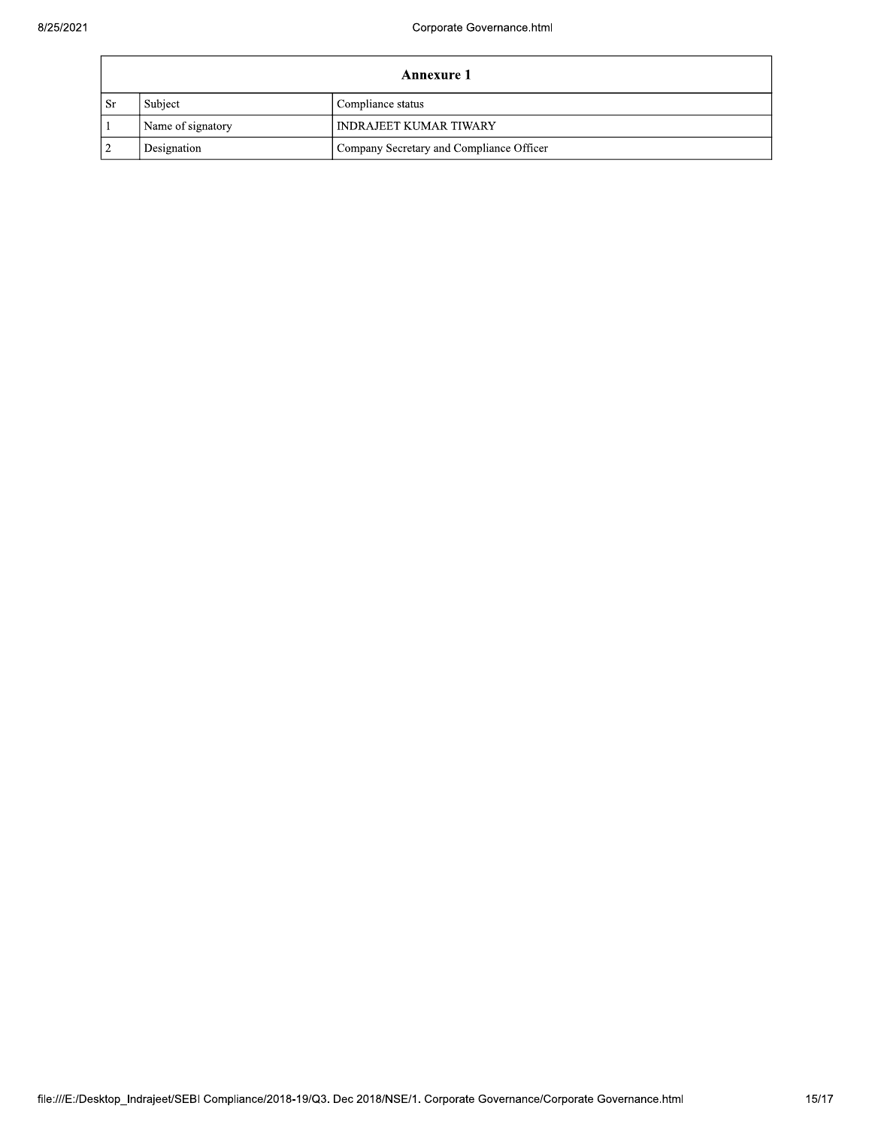| Annexure 1 |                   |                                          |  |  |
|------------|-------------------|------------------------------------------|--|--|
| <b>Sr</b>  | Subject           | Compliance status                        |  |  |
|            | Name of signatory | <b>INDRAJEET KUMAR TIWARY</b>            |  |  |
| $\bigcirc$ | Designation       | Company Secretary and Compliance Officer |  |  |